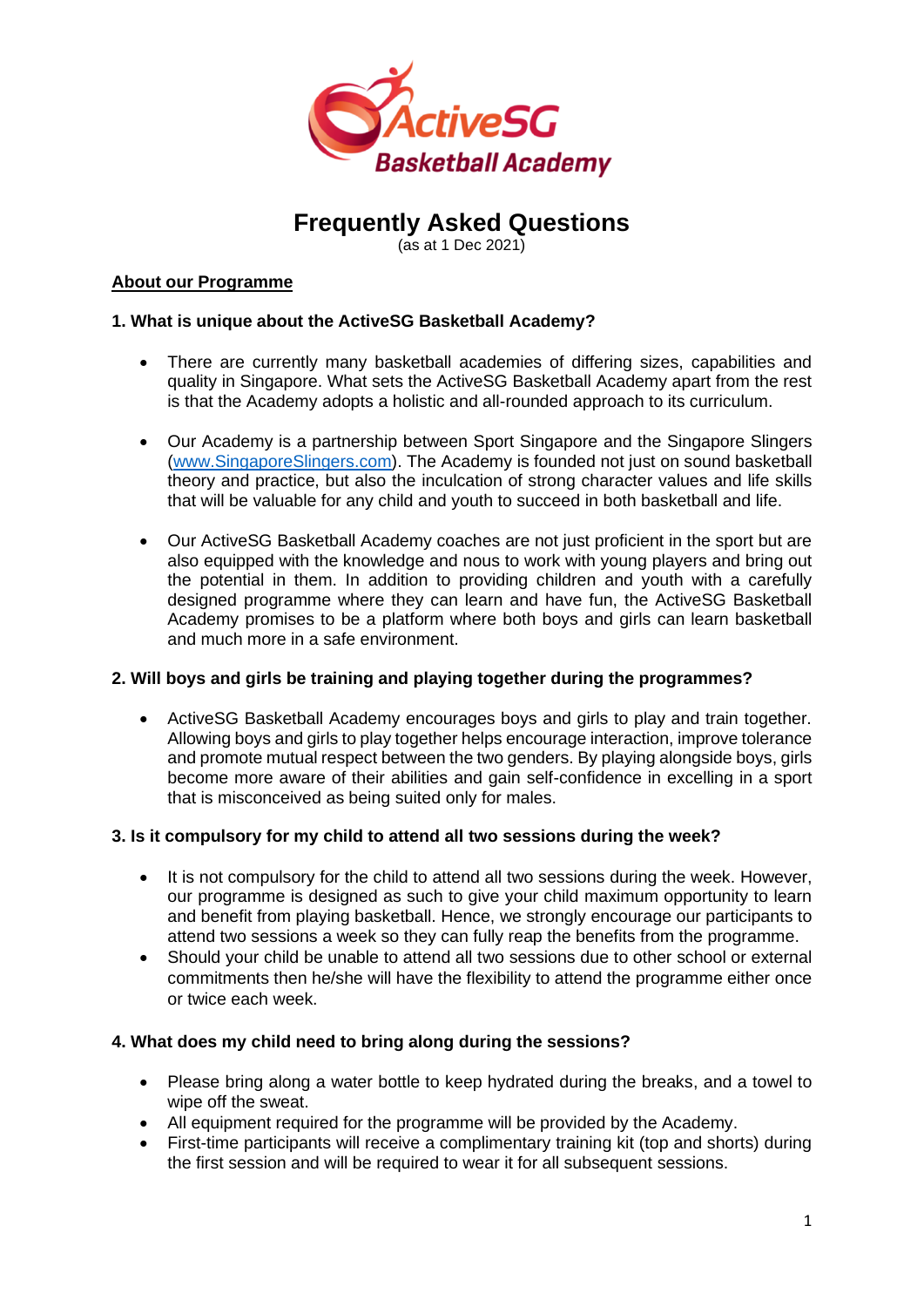

# **Frequently Asked Questions**

(as at 1 Dec 2021)

# **About our Programme**

# **1. What is unique about the ActiveSG Basketball Academy?**

- There are currently many basketball academies of differing sizes, capabilities and quality in Singapore. What sets the ActiveSG Basketball Academy apart from the rest is that the Academy adopts a holistic and all-rounded approach to its curriculum.
- Our Academy is a partnership between Sport Singapore and the Singapore Slingers [\(www.SingaporeSlingers.com\)](http://www.singaporeslingers.com/). The Academy is founded not just on sound basketball theory and practice, but also the inculcation of strong character values and life skills that will be valuable for any child and youth to succeed in both basketball and life.
- Our ActiveSG Basketball Academy coaches are not just proficient in the sport but are also equipped with the knowledge and nous to work with young players and bring out the potential in them. In addition to providing children and youth with a carefully designed programme where they can learn and have fun, the ActiveSG Basketball Academy promises to be a platform where both boys and girls can learn basketball and much more in a safe environment.

## **2. Will boys and girls be training and playing together during the programmes?**

• ActiveSG Basketball Academy encourages boys and girls to play and train together. Allowing boys and girls to play together helps encourage interaction, improve tolerance and promote mutual respect between the two genders. By playing alongside boys, girls become more aware of their abilities and gain self-confidence in excelling in a sport that is misconceived as being suited only for males.

## **3. Is it compulsory for my child to attend all two sessions during the week?**

- It is not compulsory for the child to attend all two sessions during the week. However, our programme is designed as such to give your child maximum opportunity to learn and benefit from playing basketball. Hence, we strongly encourage our participants to attend two sessions a week so they can fully reap the benefits from the programme.
- Should your child be unable to attend all two sessions due to other school or external commitments then he/she will have the flexibility to attend the programme either once or twice each week.

# **4. What does my child need to bring along during the sessions?**

- Please bring along a water bottle to keep hydrated during the breaks, and a towel to wipe off the sweat.
- All equipment required for the programme will be provided by the Academy.
- First-time participants will receive a complimentary training kit (top and shorts) during the first session and will be required to wear it for all subsequent sessions.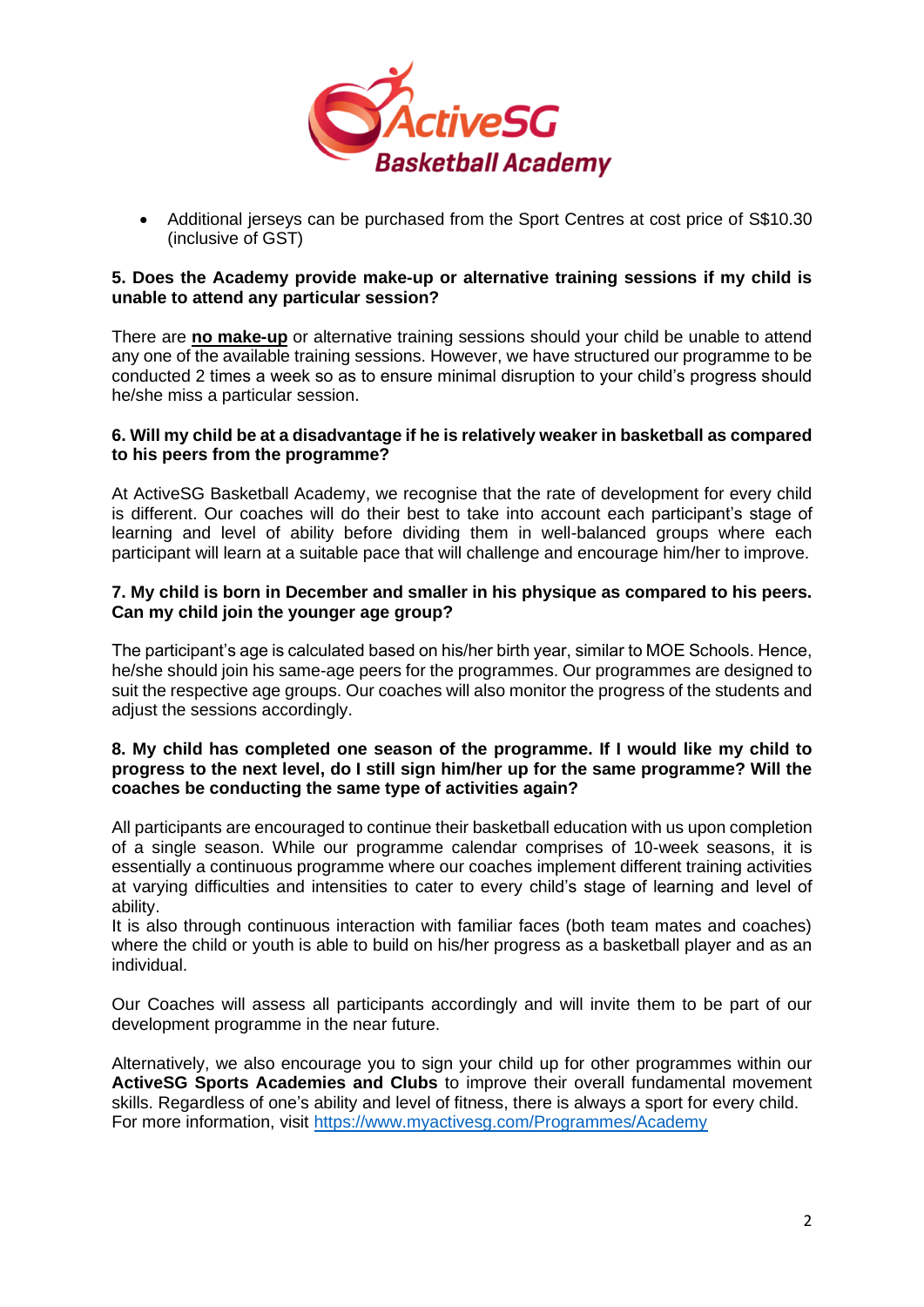

• Additional jerseys can be purchased from the Sport Centres at cost price of S\$10.30 (inclusive of GST)

## **5. Does the Academy provide make-up or alternative training sessions if my child is unable to attend any particular session?**

There are **no make-up** or alternative training sessions should your child be unable to attend any one of the available training sessions. However, we have structured our programme to be conducted 2 times a week so as to ensure minimal disruption to your child's progress should he/she miss a particular session.

## **6. Will my child be at a disadvantage if he is relatively weaker in basketball as compared to his peers from the programme?**

At ActiveSG Basketball Academy, we recognise that the rate of development for every child is different. Our coaches will do their best to take into account each participant's stage of learning and level of ability before dividing them in well-balanced groups where each participant will learn at a suitable pace that will challenge and encourage him/her to improve.

## **7. My child is born in December and smaller in his physique as compared to his peers. Can my child join the younger age group?**

The participant's age is calculated based on his/her birth year, similar to MOE Schools. Hence, he/she should join his same-age peers for the programmes. Our programmes are designed to suit the respective age groups. Our coaches will also monitor the progress of the students and adiust the sessions accordingly.

## **8. My child has completed one season of the programme. If I would like my child to progress to the next level, do I still sign him/her up for the same programme? Will the coaches be conducting the same type of activities again?**

All participants are encouraged to continue their basketball education with us upon completion of a single season. While our programme calendar comprises of 10-week seasons, it is essentially a continuous programme where our coaches implement different training activities at varying difficulties and intensities to cater to every child's stage of learning and level of ability.

It is also through continuous interaction with familiar faces (both team mates and coaches) where the child or youth is able to build on his/her progress as a basketball player and as an individual.

Our Coaches will assess all participants accordingly and will invite them to be part of our development programme in the near future.

Alternatively, we also encourage you to sign your child up for other programmes within our **ActiveSG Sports Academies and Clubs** to improve their overall fundamental movement skills. Regardless of one's ability and level of fitness, there is always a sport for every child. For more information, visit<https://www.myactivesg.com/Programmes/Academy>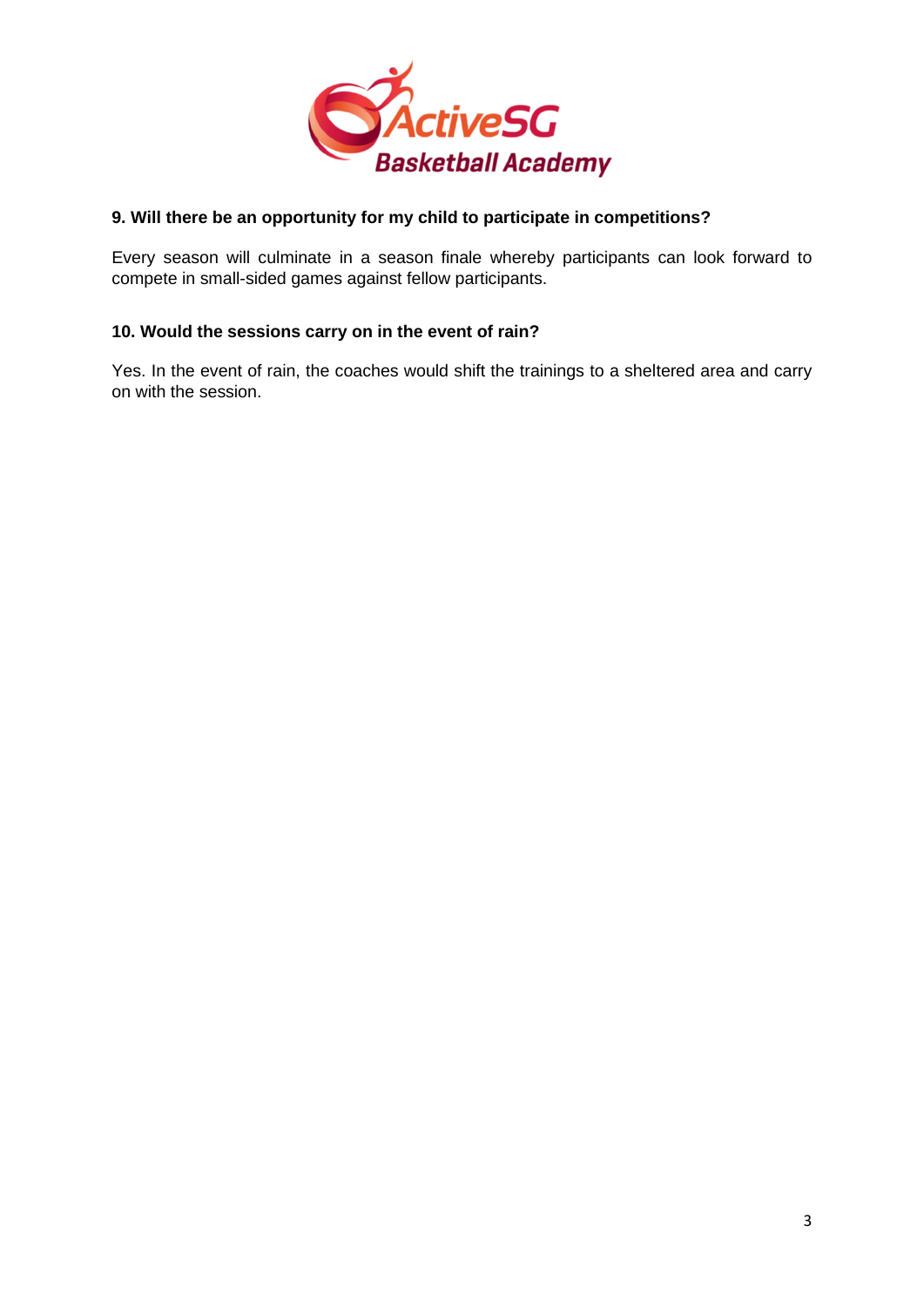

# **9. Will there be an opportunity for my child to participate in competitions?**

Every season will culminate in a season finale whereby participants can look forward to compete in small-sided games against fellow participants.

## **10. Would the sessions carry on in the event of rain?**

Yes. In the event of rain, the coaches would shift the trainings to a sheltered area and carry on with the session.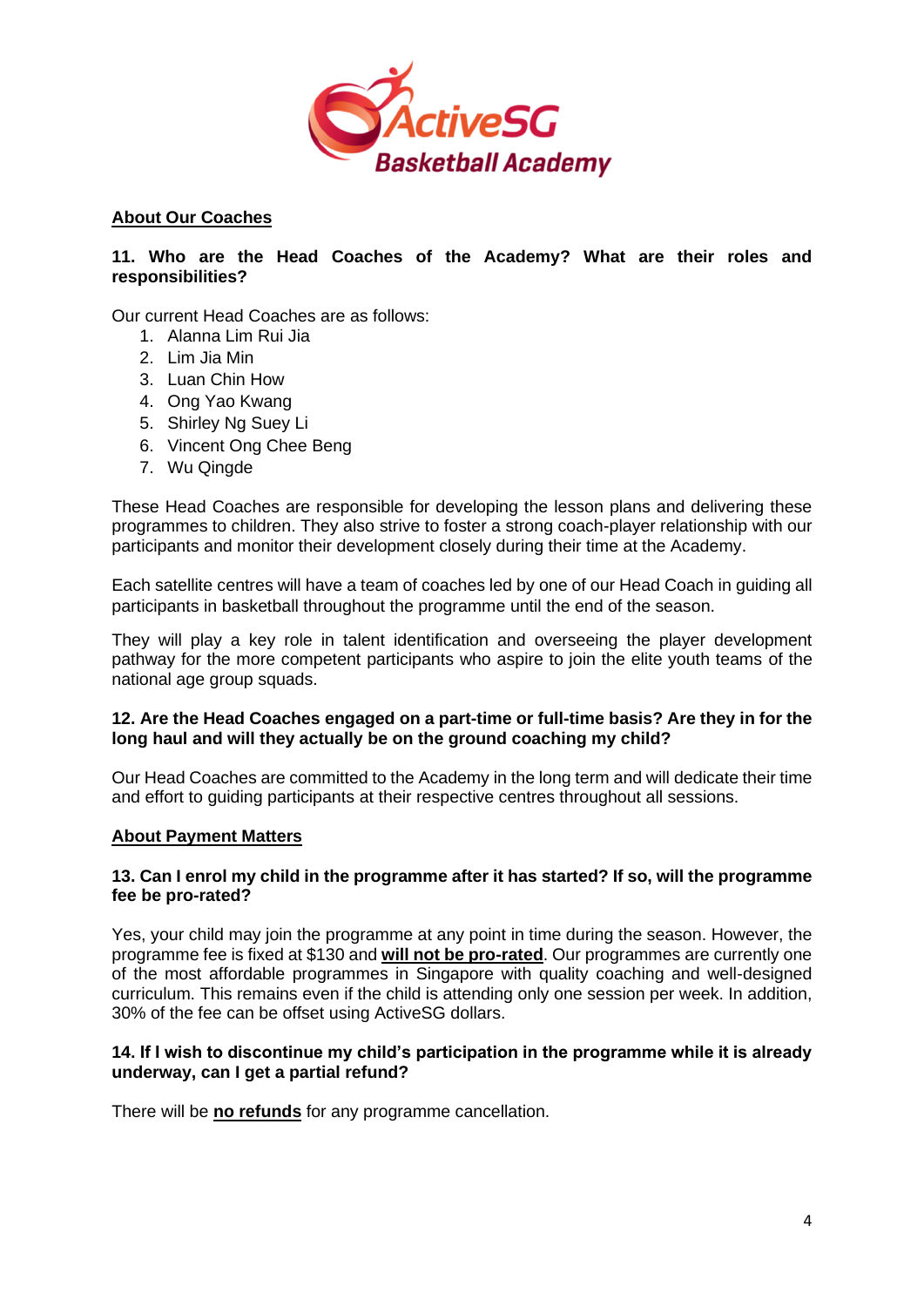

# **About Our Coaches**

## **11. Who are the Head Coaches of the Academy? What are their roles and responsibilities?**

Our current Head Coaches are as follows:

- 1. Alanna Lim Rui Jia
- 2. Lim Jia Min
- 3. Luan Chin How
- 4. Ong Yao Kwang
- 5. Shirley Ng Suey Li
- 6. Vincent Ong Chee Beng
- 7. Wu Qingde

These Head Coaches are responsible for developing the lesson plans and delivering these programmes to children. They also strive to foster a strong coach-player relationship with our participants and monitor their development closely during their time at the Academy.

Each satellite centres will have a team of coaches led by one of our Head Coach in guiding all participants in basketball throughout the programme until the end of the season.

They will play a key role in talent identification and overseeing the player development pathway for the more competent participants who aspire to join the elite youth teams of the national age group squads.

## **12. Are the Head Coaches engaged on a part-time or full-time basis? Are they in for the long haul and will they actually be on the ground coaching my child?**

Our Head Coaches are committed to the Academy in the long term and will dedicate their time and effort to guiding participants at their respective centres throughout all sessions.

## **About Payment Matters**

## **13. Can I enrol my child in the programme after it has started? If so, will the programme fee be pro-rated?**

Yes, your child may join the programme at any point in time during the season. However, the programme fee is fixed at \$130 and **will not be pro-rated**. Our programmes are currently one of the most affordable programmes in Singapore with quality coaching and well-designed curriculum. This remains even if the child is attending only one session per week. In addition, 30% of the fee can be offset using ActiveSG dollars.

## **14. If I wish to discontinue my child's participation in the programme while it is already underway, can I get a partial refund?**

There will be **no refunds** for any programme cancellation.